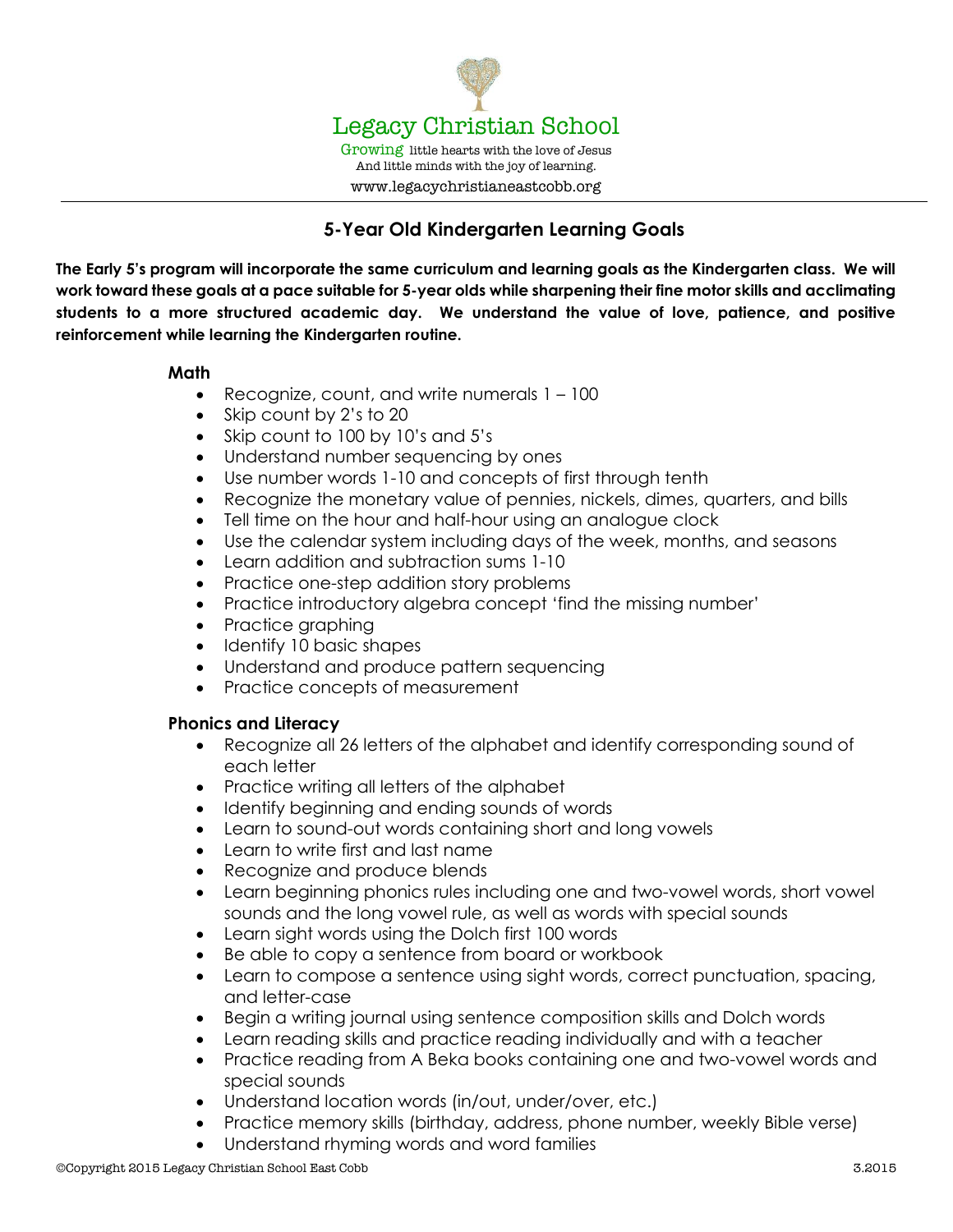

www.legacychristianeastcobb.org

# **5-Year Old Kindergarten Learning Goals**

**The Early 5's program will incorporate the same curriculum and learning goals as the Kindergarten class. We will work toward these goals at a pace suitable for 5-year olds while sharpening their fine motor skills and acclimating students to a more structured academic day. We understand the value of love, patience, and positive reinforcement while learning the Kindergarten routine.**

## **Math**

- Recognize, count, and write numerals 1 100
- Skip count by 2's to 20
- Skip count to 100 by 10's and 5's
- Understand number sequencing by ones
- Use number words 1-10 and concepts of first through tenth
- Recognize the monetary value of pennies, nickels, dimes, quarters, and bills
- Tell time on the hour and half-hour using an analogue clock
- Use the calendar system including days of the week, months, and seasons
- Learn addition and subtraction sums 1-10
- Practice one-step addition story problems
- Practice introductory algebra concept 'find the missing number'
- Practice graphing
- Identify 10 basic shapes
- Understand and produce pattern sequencing
- Practice concepts of measurement

## **Phonics and Literacy**

- Recognize all 26 letters of the alphabet and identify corresponding sound of each letter
- Practice writing all letters of the alphabet
- Identify beginning and ending sounds of words
- Learn to sound-out words containing short and long vowels
- Learn to write first and last name
- Recognize and produce blends
- Learn beginning phonics rules including one and two-vowel words, short vowel sounds and the long vowel rule, as well as words with special sounds
- Learn sight words using the Dolch first 100 words
- Be able to copy a sentence from board or workbook
- Learn to compose a sentence using sight words, correct punctuation, spacing, and letter-case
- Begin a writing journal using sentence composition skills and Dolch words
- Learn reading skills and practice reading individually and with a teacher
- Practice reading from A Beka books containing one and two-vowel words and special sounds
- Understand location words (in/out, under/over, etc.)
- Practice memory skills (birthday, address, phone number, weekly Bible verse)
- Understand rhyming words and word families